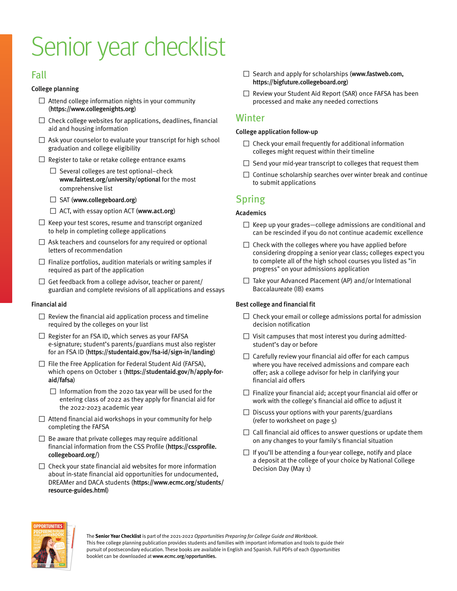# Senior year checklist

# Fall

## College planning

- $\square$  Attend college information nights in your community ([https://www.collegenights.org](https://www.collegenights.org/))
- $\square$  Check college websites for applications, deadlines, financial aid and housing information
- $\square$  Ask your counselor to evaluate your transcript for high school graduation and college eligibility
- $\Box$  Register to take or retake college entrance exams
	- $\Box$  Several colleges are test optional–check <www.fairtest.org/university/optional> for the most comprehensive list
	- $\Box$  SAT (<www.collegeboard.org>)
	- $\Box$  ACT, with essay option ACT (www.act.org)
- $\Box$  Keep your test scores, resume and transcript organized to help in completing college applications
- $\Box$  Ask teachers and counselors for any required or optional letters of recommendation
- $\square$  Finalize portfolios, audition materials or writing samples if required as part of the application
- $\Box$  Get feedback from a college advisor, teacher or parent/ guardian and complete revisions of all applications and essays

## Financial aid

- $\Box$  Review the financial aid application process and timeline required by the colleges on your list
- □ Register for an FSA ID, which serves as your FAFSA e-signature; student's parents/guardians must also register for an FSA ID (<https://studentaid.gov/fsa-id/sign-in/landing>)
- $\Box$  File the Free Application for Federal Student Aid (FAFSA), which opens on October 1 ([https://studentaid.gov/h/apply-for](https://studentaid.gov/h/apply-for-aid/fafsa)[aid/fafsa](https://studentaid.gov/h/apply-for-aid/fafsa))
	- $\Box$  Information from the 2020 tax year will be used for the entering class of 2022 as they apply for financial aid for the 2022-2023 academic year
- $\Box$  Attend financial aid workshops in your community for help completing the FAFSA
- $\square$  Be aware that private colleges may require additional financial information from the CSS Profile ([https://cssprofile.](https://cssprofile.collegeboard.org/) [collegeboard.org/](https://cssprofile.collegeboard.org/))
- $\square$  Check your state financial aid websites for more information about in-state financial aid opportunities for undocumented, DREAMer and DACA students ([https://www.ecmc.org/students/](https://www.ecmc.org/students/resource-guides.html) [resource-guides.html](https://www.ecmc.org/students/resource-guides.html))
- □ Search and apply for scholarships ([www.fastweb.com](http://www.fastweb.com), <https://bigfuture.collegeboard.org>)
- □ Review your Student Aid Report (SAR) once FAFSA has been processed and make any needed corrections

## Winter

## College application follow-up

- $\square$  Check your email frequently for additional information colleges might request within their timeline
- $\square$  Send your mid-year transcript to colleges that request them
- $\square$  Continue scholarship searches over winter break and continue to submit applications

# Spring

## Academics

- $\Box$  Keep up your grades—college admissions are conditional and can be rescinded if you do not continue academic excellence
- $\square$  Check with the colleges where you have applied before considering dropping a senior year class; colleges expect you to complete all of the high school courses you listed as "in progress" on your admissions application
- $\Box$  Take your Advanced Placement (AP) and/or International Baccalaureate (IB) exams

## Best college and financial fit

- $\square$  Check your email or college admissions portal for admission decision notification
- $\Box$  Visit campuses that most interest you during admittedstudent's day or before
- $\Box$  Carefully review your financial aid offer for each campus where you have received admissions and compare each offer; ask a college advisor for help in clarifying your financial aid offers
- $\Box$  Finalize your financial aid; accept your financial aid offer or work with the college's financial aid office to adjust it
- $\square$  Discuss your options with your parents/guardians (refer to worksheet on page 5)
- $\Box$  Call financial aid offices to answer questions or update them on any changes to your family's financial situation
- $\Box$  If you'll be attending a four-year college, notify and place a deposit at the college of your choice by National College Decision Day (May 1)



The **Senior Year Checklist** is part of the 2021-2022 Opportunities Preparing for College Guide and Workbook. This free college planning publication provides students and families with important information and tools to guide their pursuit of postsecondary education. These books are available in English and Spanish. Full PDFs of each Opportunities booklet can be downloaded at <www.ecmc.org/opportunities>.